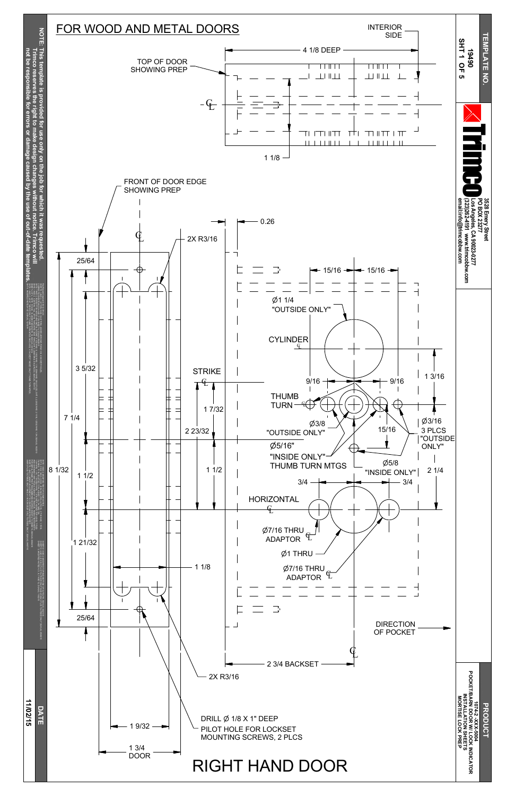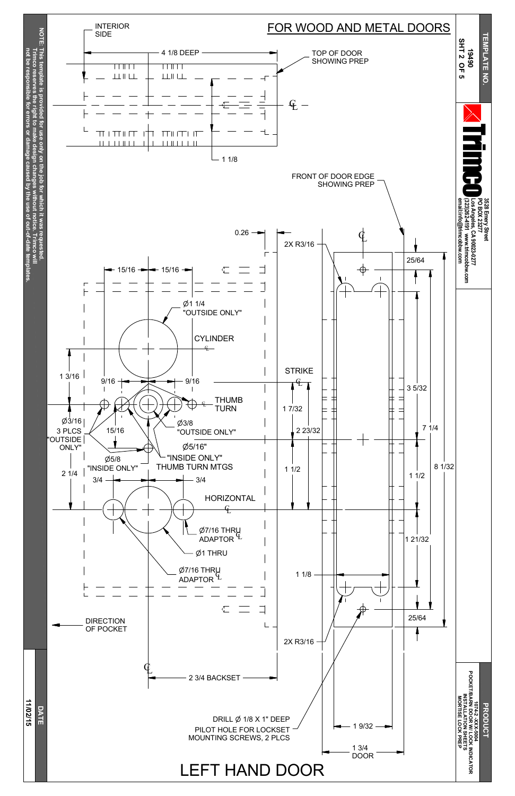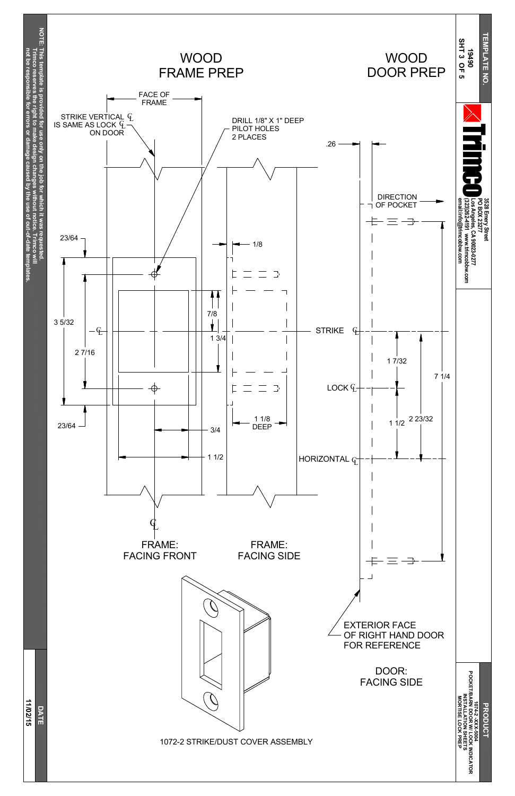**11/0 2/15 D A T E**

**DRODUC 1074-2 -XXX-5004 POOKET/BARK LO C K INDIC ATO R**

**INSTALLATION**

**SHEETS**

**M O RTISE**

**LO C K**

**PREP** 



1072-2 STRIKE/DUST COVER ASSEMBLY

## EXTERIOR FACE OF RIGHT HAND DOOR FOR REFERENCE

## DOOR: FACING SIDE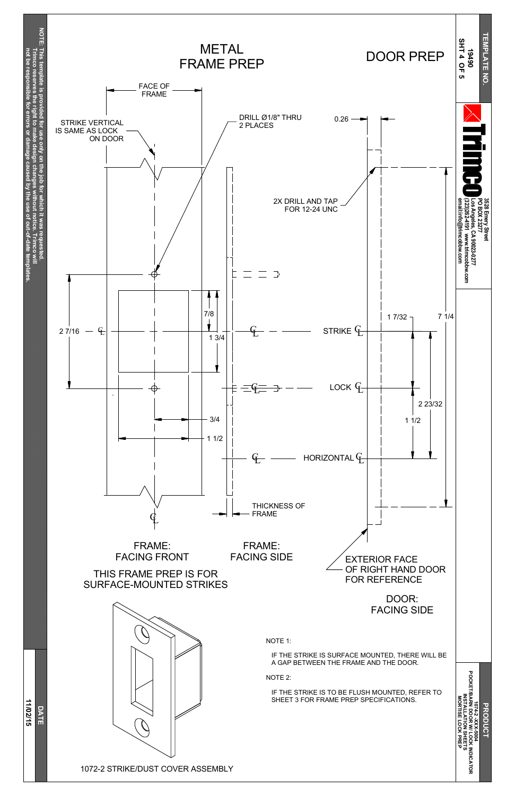**11/0 2/15**

**D A T E**

**or**



# DOOR: FACING SIDE



#### NOTE 1:

#### IF THE STRIKE IS SURFACE MOUNTED, THERE WILL BE A GAP BETWEEN THE FRAME AND THE DOOR.

NOTE 2:

IF THE STRIKE IS TO BE FLUSH MOUNTED, REFER TO SHEET 3 FOR FRAME PREP SPECIFICATIONS.

**DRODUC 1074-2 -XXX-5004 POOKET/BARK LO C K INDIC ATO R INSTALLATION SHEETS M O RTISE LO C K PREP**